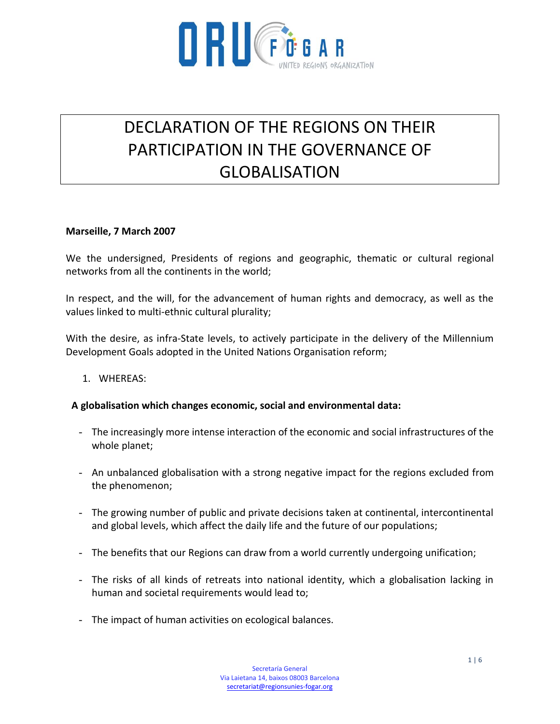

# DECLARATION OF THE REGIONS ON THEIR PARTICIPATION IN THE GOVERNANCE OF GLOBALISATION

#### **Marseille, 7 March 2007**

We the undersigned, Presidents of regions and geographic, thematic or cultural regional networks from all the continents in the world;

In respect, and the will, for the advancement of human rights and democracy, as well as the values linked to multi-ethnic cultural plurality;

With the desire, as infra-State levels, to actively participate in the delivery of the Millennium Development Goals adopted in the United Nations Organisation reform;

1. WHEREAS:

# **A globalisation which changes economic, social and environmental data:**

- The increasingly more intense interaction of the economic and social infrastructures of the whole planet;
- An unbalanced globalisation with a strong negative impact for the regions excluded from the phenomenon;
- The growing number of public and private decisions taken at continental, intercontinental and global levels, which affect the daily life and the future of our populations;
- The benefits that our Regions can draw from a world currently undergoing unification;
- The risks of all kinds of retreats into national identity, which a globalisation lacking in human and societal requirements would lead to;
- The impact of human activities on ecological balances.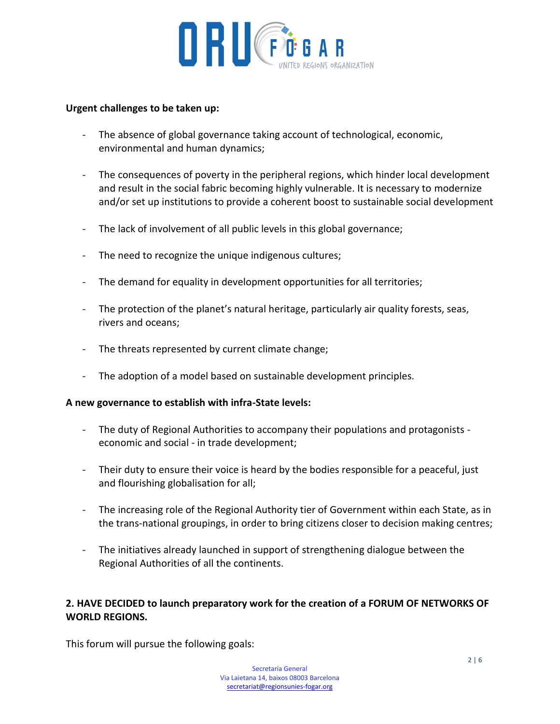

# **Urgent challenges to be taken up:**

- The absence of global governance taking account of technological, economic, environmental and human dynamics;
- The consequences of poverty in the peripheral regions, which hinder local development and result in the social fabric becoming highly vulnerable. It is necessary to modernize and/or set up institutions to provide a coherent boost to sustainable social development
- The lack of involvement of all public levels in this global governance;
- The need to recognize the unique indigenous cultures;
- The demand for equality in development opportunities for all territories;
- The protection of the planet's natural heritage, particularly air quality forests, seas, rivers and oceans;
- The threats represented by current climate change;
- The adoption of a model based on sustainable development principles.

# **A new governance to establish with infra-State levels:**

- The duty of Regional Authorities to accompany their populations and protagonists economic and social - in trade development;
- Their duty to ensure their voice is heard by the bodies responsible for a peaceful, just and flourishing globalisation for all;
- The increasing role of the Regional Authority tier of Government within each State, as in the trans-national groupings, in order to bring citizens closer to decision making centres;
- The initiatives already launched in support of strengthening dialogue between the Regional Authorities of all the continents.

# **2. HAVE DECIDED to launch preparatory work for the creation of a FORUM OF NETWORKS OF WORLD REGIONS.**

This forum will pursue the following goals: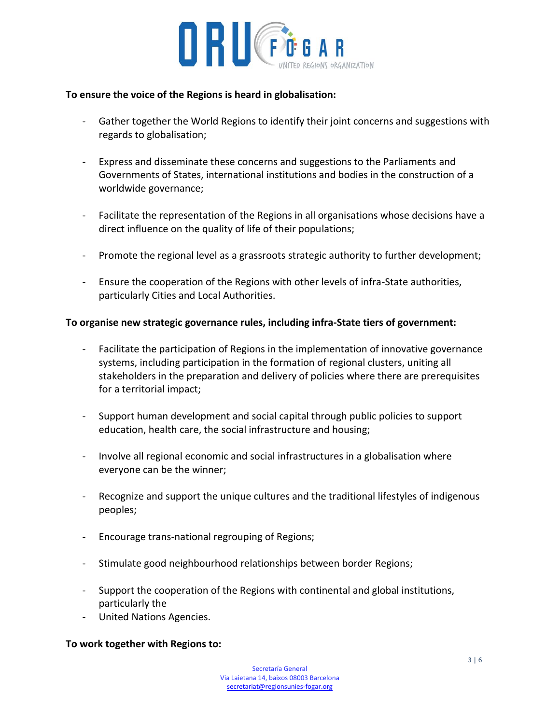

#### **To ensure the voice of the Regions is heard in globalisation:**

- Gather together the World Regions to identify their joint concerns and suggestions with regards to globalisation;
- Express and disseminate these concerns and suggestions to the Parliaments and Governments of States, international institutions and bodies in the construction of a worldwide governance;
- Facilitate the representation of the Regions in all organisations whose decisions have a direct influence on the quality of life of their populations;
- Promote the regional level as a grassroots strategic authority to further development;
- Ensure the cooperation of the Regions with other levels of infra-State authorities, particularly Cities and Local Authorities.

#### **To organise new strategic governance rules, including infra-State tiers of government:**

- Facilitate the participation of Regions in the implementation of innovative governance systems, including participation in the formation of regional clusters, uniting all stakeholders in the preparation and delivery of policies where there are prerequisites for a territorial impact;
- Support human development and social capital through public policies to support education, health care, the social infrastructure and housing;
- Involve all regional economic and social infrastructures in a globalisation where everyone can be the winner;
- Recognize and support the unique cultures and the traditional lifestyles of indigenous peoples;
- Encourage trans-national regrouping of Regions;
- Stimulate good neighbourhood relationships between border Regions;
- Support the cooperation of the Regions with continental and global institutions, particularly the
- United Nations Agencies.

# **To work together with Regions to:**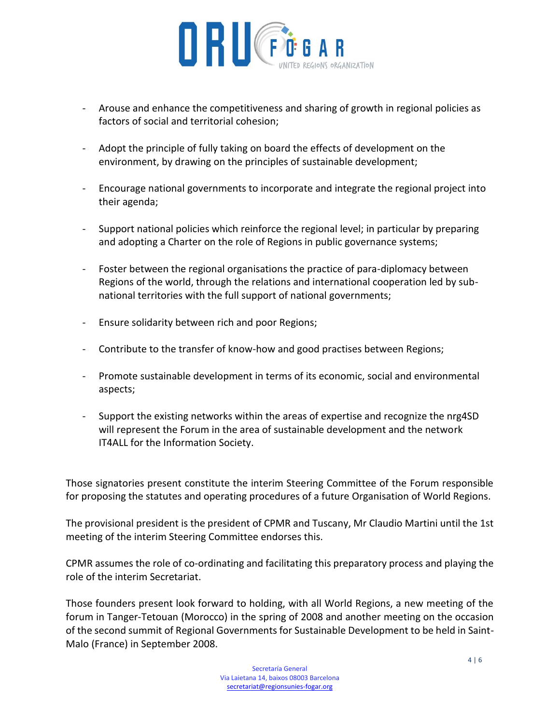

- Arouse and enhance the competitiveness and sharing of growth in regional policies as factors of social and territorial cohesion;
- Adopt the principle of fully taking on board the effects of development on the environment, by drawing on the principles of sustainable development;
- Encourage national governments to incorporate and integrate the regional project into their agenda;
- Support national policies which reinforce the regional level; in particular by preparing and adopting a Charter on the role of Regions in public governance systems;
- Foster between the regional organisations the practice of para-diplomacy between Regions of the world, through the relations and international cooperation led by subnational territories with the full support of national governments;
- Ensure solidarity between rich and poor Regions;
- Contribute to the transfer of know-how and good practises between Regions;
- Promote sustainable development in terms of its economic, social and environmental aspects;
- Support the existing networks within the areas of expertise and recognize the nrg4SD will represent the Forum in the area of sustainable development and the network IT4ALL for the Information Society.

Those signatories present constitute the interim Steering Committee of the Forum responsible for proposing the statutes and operating procedures of a future Organisation of World Regions.

The provisional president is the president of CPMR and Tuscany, Mr Claudio Martini until the 1st meeting of the interim Steering Committee endorses this.

CPMR assumes the role of co-ordinating and facilitating this preparatory process and playing the role of the interim Secretariat.

Those founders present look forward to holding, with all World Regions, a new meeting of the forum in Tanger-Tetouan (Morocco) in the spring of 2008 and another meeting on the occasion of the second summit of Regional Governments for Sustainable Development to be held in Saint-Malo (France) in September 2008.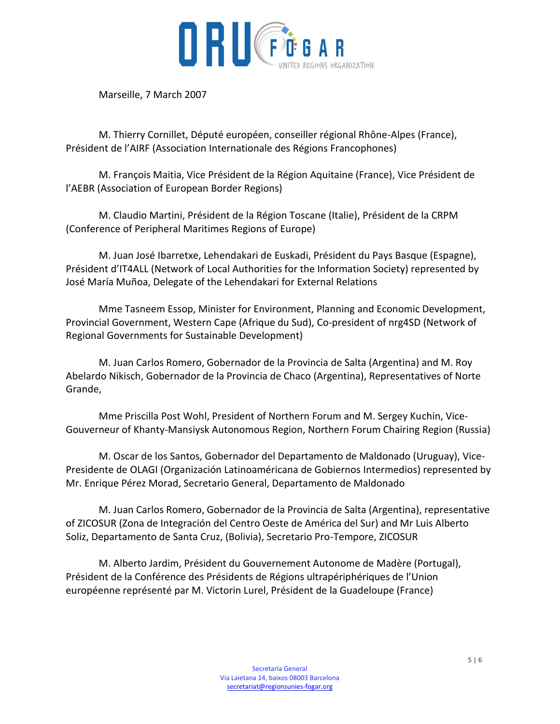

Marseille, 7 March 2007

M. Thierry Cornillet, Député européen, conseiller régional Rhône-Alpes (France), Président de l'AIRF (Association Internationale des Régions Francophones)

M. François Maitia, Vice Président de la Région Aquitaine (France), Vice Président de l'AEBR (Association of European Border Regions)

M. Claudio Martini, Président de la Région Toscane (Italie), Président de la CRPM (Conference of Peripheral Maritimes Regions of Europe)

M. Juan José Ibarretxe, Lehendakari de Euskadi, Président du Pays Basque (Espagne), Président d'IT4ALL (Network of Local Authorities for the Information Society) represented by José María Muñoa, Delegate of the Lehendakari for External Relations

Mme Tasneem Essop, Minister for Environment, Planning and Economic Development, Provincial Government, Western Cape (Afrique du Sud), Co-president of nrg4SD (Network of Regional Governments for Sustainable Development)

M. Juan Carlos Romero, Gobernador de la Provincia de Salta (Argentina) and M. Roy Abelardo Nikisch, Gobernador de la Provincia de Chaco (Argentina), Representatives of Norte Grande,

Mme Priscilla Post Wohl, President of Northern Forum and M. Sergey Kuchin, Vice-Gouverneur of Khanty-Mansiysk Autonomous Region, Northern Forum Chairing Region (Russia)

M. Oscar de los Santos, Gobernador del Departamento de Maldonado (Uruguay), Vice-Presidente de OLAGI (Organización Latinoaméricana de Gobiernos Intermedios) represented by Mr. Enrique Pérez Morad, Secretario General, Departamento de Maldonado

M. Juan Carlos Romero, Gobernador de la Provincia de Salta (Argentina), representative of ZICOSUR (Zona de Integración del Centro Oeste de América del Sur) and Mr Luis Alberto Soliz, Departamento de Santa Cruz, (Bolivia), Secretario Pro-Tempore, ZICOSUR

M. Alberto Jardim, Président du Gouvernement Autonome de Madère (Portugal), Président de la Conférence des Présidents de Régions ultrapériphériques de l'Union européenne représenté par M. Victorin Lurel, Président de la Guadeloupe (France)